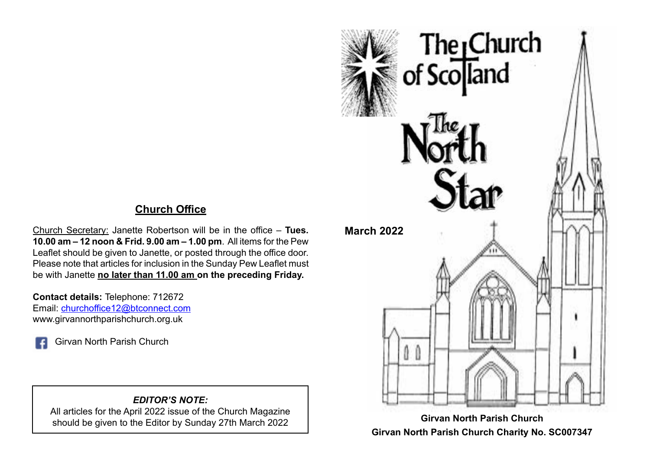## **Church Office**

Church Secretary: Janette Robertson will be in the office – **Tues. 10.00 am – 12 noon & Frid. 9.00 am – 1.00 pm**. All items for the Pew Leaflet should be given to Janette, or posted through the office door. Please note that articles for inclusion in the Sunday Pew Leaflet must be with Janette **no later than 11.00 am on the preceding Friday.**

**Contact details:** Telephone: 712672 Email: [churchoffice12@btconnect.com](mailto:churchoffice12@btconnect.com) www.girvannorthparishchurch.org.uk

Girvan North Parish Church

#### *EDITOR'S NOTE:*

All articles for the April 2022 issue of the Church Magazine should be given to the Editor by Sunday 27th March 2022



**Girvan North Parish Church Charity No. SC007347**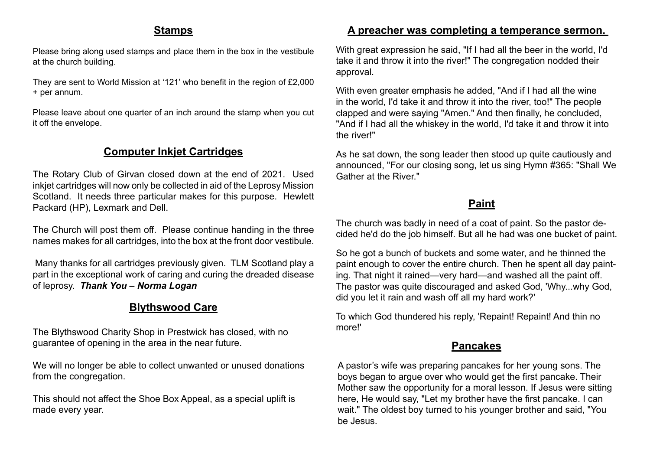#### **Stamps**

Please bring along used stamps and place them in the box in the vestibule at the church building.

They are sent to World Mission at '121' who benefit in the region of £2,000 + per annum.

Please leave about one quarter of an inch around the stamp when you cut it off the envelope.

#### **Computer Inkjet Cartridges**

The Rotary Club of Girvan closed down at the end of 2021. Used inkjet cartridges will now only be collected in aid of the Leprosy Mission Scotland. It needs three particular makes for this purpose. Hewlett Packard (HP), Lexmark and Dell.

The Church will post them off. Please continue handing in the three names makes for all cartridges, into the box at the front door vestibule.

 Many thanks for all cartridges previously given. TLM Scotland play a part in the exceptional work of caring and curing the dreaded disease of leprosy. *Thank You – Norma Logan*

## **Blythswood Care**

The Blythswood Charity Shop in Prestwick has closed, with no guarantee of opening in the area in the near future.

We will no longer be able to collect unwanted or unused donations from the congregation.

This should not affect the Shoe Box Appeal, as a special uplift is made every year.

#### **A preacher was completing a temperance sermon.**

With great expression he said, "If I had all the beer in the world, I'd take it and throw it into the river!" The congregation nodded their approval.

With even greater emphasis he added, "And if I had all the wine in the world, I'd take it and throw it into the river, too!" The people clapped and were saying "Amen." And then finally, he concluded, "And if I had all the whiskey in the world, I'd take it and throw it into the river!"

As he sat down, the song leader then stood up quite cautiously and announced, "For our closing song, let us sing Hymn #365: "Shall We Gather at the River."

#### **Paint**

The church was badly in need of a coat of paint. So the pastor decided he'd do the job himself. But all he had was one bucket of paint.

So he got a bunch of buckets and some water, and he thinned the paint enough to cover the entire church. Then he spent all day painting. That night it rained—very hard—and washed all the paint off. The pastor was quite discouraged and asked God, 'Why...why God, did you let it rain and wash off all my hard work?'

To which God thundered his reply, 'Repaint! Repaint! And thin no more!'

#### **Pancakes**

A pastor's wife was preparing pancakes for her young sons. The boys began to argue over who would get the first pancake. Their Mother saw the opportunity for a moral lesson. If Jesus were sitting here, He would say, "Let my brother have the first pancake. I can wait." The oldest boy turned to his younger brother and said, "You be Jesus.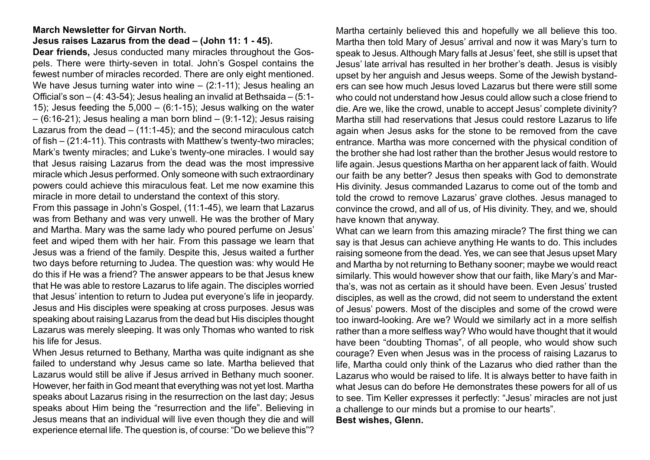#### **March Newsletter for Girvan North.**

#### **Jesus raises Lazarus from the dead – (John 11: 1 - 45).**

**Dear friends,** Jesus conducted many miracles throughout the Gospels. There were thirty-seven in total. John's Gospel contains the fewest number of miracles recorded. There are only eight mentioned. We have Jesus turning water into wine – (2:1-11); Jesus healing an Official's son – (4: 43-54); Jesus healing an invalid at Bethsaida – (5:1- 15); Jesus feeding the  $5,000 - (6:1-15)$ ; Jesus walking on the water  $-$  (6:16-21); Jesus healing a man born blind  $-$  (9:1-12); Jesus raising Lazarus from the dead – (11:1-45); and the second miraculous catch of fish – (21:4-11). This contrasts with Matthew's twenty-two miracles; Mark's twenty miracles; and Luke's twenty-one miracles. I would say that Jesus raising Lazarus from the dead was the most impressive miracle which Jesus performed. Only someone with such extraordinary powers could achieve this miraculous feat. Let me now examine this miracle in more detail to understand the context of this story.

From this passage in John's Gospel, (11:1-45), we learn that Lazarus was from Bethany and was very unwell. He was the brother of Mary and Martha. Mary was the same lady who poured perfume on Jesus' feet and wiped them with her hair. From this passage we learn that Jesus was a friend of the family. Despite this, Jesus waited a further two days before returning to Judea. The question was: why would He do this if He was a friend? The answer appears to be that Jesus knew that He was able to restore Lazarus to life again. The disciples worried that Jesus' intention to return to Judea put everyone's life in jeopardy. Jesus and His disciples were speaking at cross purposes. Jesus was speaking about raising Lazarus from the dead but His disciples thought Lazarus was merely sleeping. It was only Thomas who wanted to risk his life for Jesus.

When Jesus returned to Bethany, Martha was quite indignant as she failed to understand why Jesus came so late. Martha believed that Lazarus would still be alive if Jesus arrived in Bethany much sooner. However, her faith in God meant that everything was not yet lost. Martha speaks about Lazarus rising in the resurrection on the last day; Jesus speaks about Him being the "resurrection and the life". Believing in Jesus means that an individual will live even though they die and will experience eternal life. The question is, of course: "Do we believe this"?

Martha certainly believed this and hopefully we all believe this too. Martha then told Mary of Jesus' arrival and now it was Mary's turn to speak to Jesus. Although Mary falls at Jesus' feet, she still is upset that Jesus' late arrival has resulted in her brother's death. Jesus is visibly upset by her anguish and Jesus weeps. Some of the Jewish bystanders can see how much Jesus loved Lazarus but there were still some who could not understand how Jesus could allow such a close friend to die. Are we, like the crowd, unable to accept Jesus' complete divinity? Martha still had reservations that Jesus could restore Lazarus to life again when Jesus asks for the stone to be removed from the cave entrance. Martha was more concerned with the physical condition of the brother she had lost rather than the brother Jesus would restore to life again. Jesus questions Martha on her apparent lack of faith. Would our faith be any better? Jesus then speaks with God to demonstrate His divinity. Jesus commanded Lazarus to come out of the tomb and told the crowd to remove Lazarus' grave clothes. Jesus managed to convince the crowd, and all of us, of His divinity. They, and we, should have known that anyway.

What can we learn from this amazing miracle? The first thing we can say is that Jesus can achieve anything He wants to do. This includes raising someone from the dead. Yes, we can see that Jesus upset Mary and Martha by not returning to Bethany sooner; maybe we would react similarly. This would however show that our faith, like Mary's and Martha's, was not as certain as it should have been. Even Jesus' trusted disciples, as well as the crowd, did not seem to understand the extent of Jesus' powers. Most of the disciples and some of the crowd were too inward-looking. Are we? Would we similarly act in a more selfish rather than a more selfless way? Who would have thought that it would have been "doubting Thomas", of all people, who would show such courage? Even when Jesus was in the process of raising Lazarus to life, Martha could only think of the Lazarus who died rather than the Lazarus who would be raised to life. It is always better to have faith in what Jesus can do before He demonstrates these powers for all of us to see. Tim Keller expresses it perfectly: "Jesus' miracles are not just a challenge to our minds but a promise to our hearts". **Best wishes, Glenn.**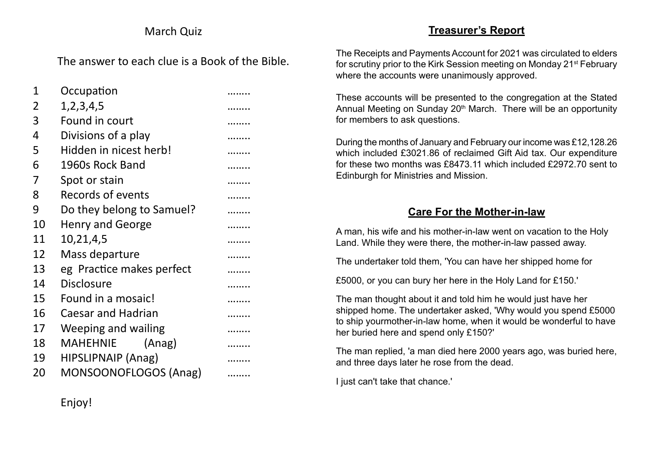## March Quiz

The answer to each clue is a Book of the Bible.

| 1  | Occupation                |  |  |  |  |  |  |  |
|----|---------------------------|--|--|--|--|--|--|--|
| 2  | 1, 2, 3, 4, 5             |  |  |  |  |  |  |  |
| 3  | Found in court            |  |  |  |  |  |  |  |
| 4  | Divisions of a play       |  |  |  |  |  |  |  |
| 5  | Hidden in nicest herb!    |  |  |  |  |  |  |  |
| 6  | 1960s Rock Band           |  |  |  |  |  |  |  |
| 7  | Spot or stain             |  |  |  |  |  |  |  |
| 8  | Records of events         |  |  |  |  |  |  |  |
| 9  | Do they belong to Samuel? |  |  |  |  |  |  |  |
| 10 | <b>Henry and George</b>   |  |  |  |  |  |  |  |
| 11 | 10,21,4,5                 |  |  |  |  |  |  |  |
| 12 | Mass departure            |  |  |  |  |  |  |  |
| 13 | eg Practice makes perfect |  |  |  |  |  |  |  |
| 14 | <b>Disclosure</b>         |  |  |  |  |  |  |  |
| 15 | Found in a mosaic!        |  |  |  |  |  |  |  |
| 16 | <b>Caesar and Hadrian</b> |  |  |  |  |  |  |  |
| 17 | Weeping and wailing       |  |  |  |  |  |  |  |
| 18 | MAHEHNIE (Anag)           |  |  |  |  |  |  |  |
| 19 | HIPSLIPNAIP (Anag)        |  |  |  |  |  |  |  |
| 20 | MONSOONOFLOGOS (Anag)     |  |  |  |  |  |  |  |

## **Treasurer's Report**

The Receipts and Payments Account for 2021 was circulated to elders for scrutiny prior to the Kirk Session meeting on Monday 21<sup>st</sup> February where the accounts were unanimously approved.

These accounts will be presented to the congregation at the Stated Annual Meeting on Sunday 20<sup>th</sup> March. There will be an opportunity for members to ask questions.

During the months of January and February our income was £12,128.26 which included £3021.86 of reclaimed Gift Aid tax. Our expenditure for these two months was £8473.11 which included £2972.70 sent to Edinburgh for Ministries and Mission.

## **Care For the Mother-in-law**

A man, his wife and his mother-in-law went on vacation to the Holy Land. While they were there, the mother-in-law passed away.

The undertaker told them, 'You can have her shipped home for

£5000, or you can bury her here in the Holy Land for £150.'

The man thought about it and told him he would just have her shipped home. The undertaker asked, 'Why would you spend £5000 to ship yourmother-in-law home, when it would be wonderful to have her buried here and spend only £150?'

The man replied, 'a man died here 2000 years ago, was buried here, and three days later he rose from the dead.

I just can't take that chance.'

Enjoy!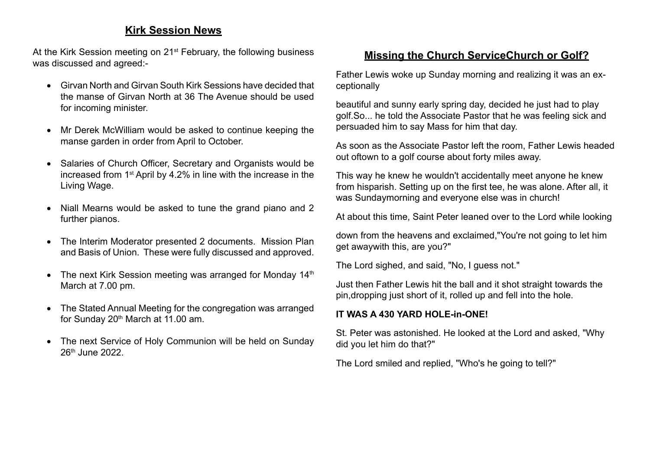### **Kirk Session News**

At the Kirk Session meeting on 21<sup>st</sup> February, the following business was discussed and agreed:-

- • Girvan North and Girvan South Kirk Sessions have decided that the manse of Girvan North at 36 The Avenue should be used for incoming minister.
- Mr Derek McWilliam would be asked to continue keeping the manse garden in order from April to October.
- Salaries of Church Officer, Secretary and Organists would be increased from 1st April by 4.2% in line with the increase in the Living Wage.
- Niall Mearns would be asked to tune the grand piano and 2 further pianos.
- The Interim Moderator presented 2 documents. Mission Plan and Basis of Union. These were fully discussed and approved.
- The next Kirk Session meeting was arranged for Monday  $14<sup>th</sup>$ March at 7.00 pm.
- The Stated Annual Meeting for the congregation was arranged for Sunday  $20<sup>th</sup>$  March at 11.00 am.
- The next Service of Holy Communion will be held on Sunday 26th June 2022.

## **Missing the Church ServiceChurch or Golf?**

Father Lewis woke up Sunday morning and realizing it was an exceptionally

beautiful and sunny early spring day, decided he just had to play golf.So... he told the Associate Pastor that he was feeling sick and persuaded him to say Mass for him that day.

As soon as the Associate Pastor left the room, Father Lewis headed out oftown to a golf course about forty miles away.

This way he knew he wouldn't accidentally meet anyone he knew from hisparish. Setting up on the first tee, he was alone. After all, it was Sundaymorning and everyone else was in church!

At about this time, Saint Peter leaned over to the Lord while looking

down from the heavens and exclaimed,"You're not going to let him get awaywith this, are you?"

The Lord sighed, and said, "No, I guess not."

Just then Father Lewis hit the ball and it shot straight towards the pin,dropping just short of it, rolled up and fell into the hole.

#### **IT WAS A 430 YARD HOLE-in-ONE!**

St. Peter was astonished. He looked at the Lord and asked, "Why did you let him do that?"

The Lord smiled and replied, "Who's he going to tell?"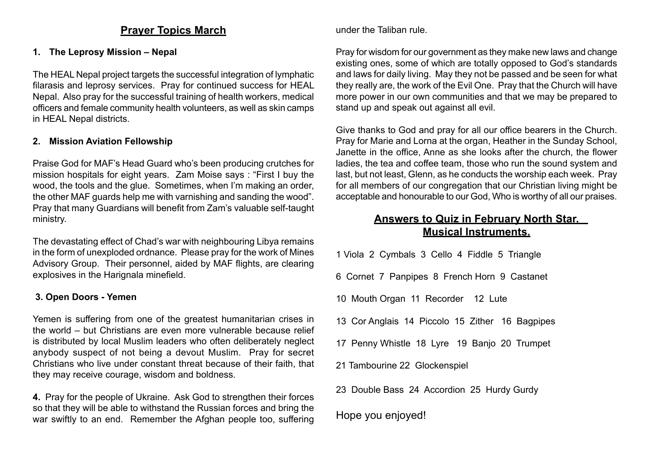#### **Prayer Topics March**

#### **1. The Leprosy Mission – Nepal**

The HEAL Nepal project targets the successful integration of lymphatic filarasis and leprosy services. Pray for continued success for HEAL Nepal. Also pray for the successful training of health workers, medical officers and female community health volunteers, as well as skin camps in HEAL Nepal districts.

#### **2. Mission Aviation Fellowship**

Praise God for MAF's Head Guard who's been producing crutches for mission hospitals for eight years. Zam Moise says : "First I buy the wood, the tools and the glue. Sometimes, when I'm making an order, the other MAF guards help me with varnishing and sanding the wood". Pray that many Guardians will benefit from Zam's valuable self-taught ministry.

The devastating effect of Chad's war with neighbouring Libya remains in the form of unexploded ordnance. Please pray for the work of Mines Advisory Group. Their personnel, aided by MAF flights, are clearing explosives in the Harignala minefield.

#### **3. Open Doors - Yemen**

Yemen is suffering from one of the greatest humanitarian crises in the world – but Christians are even more vulnerable because relief is distributed by local Muslim leaders who often deliberately neglect anybody suspect of not being a devout Muslim. Pray for secret Christians who live under constant threat because of their faith, that they may receive courage, wisdom and boldness.

**4.** Pray for the people of Ukraine. Ask God to strengthen their forces so that they will be able to withstand the Russian forces and bring the war swiftly to an end. Remember the Afghan people too, suffering under the Taliban rule.

Pray for wisdom for our government as they make new laws and change existing ones, some of which are totally opposed to God's standards and laws for daily living. May they not be passed and be seen for what they really are, the work of the Evil One. Pray that the Church will have more power in our own communities and that we may be prepared to stand up and speak out against all evil.

Give thanks to God and pray for all our office bearers in the Church. Pray for Marie and Lorna at the organ, Heather in the Sunday School, Janette in the office, Anne as she looks after the church, the flower ladies, the tea and coffee team, those who run the sound system and last, but not least, Glenn, as he conducts the worship each week. Pray for all members of our congregation that our Christian living might be acceptable and honourable to our God, Who is worthy of all our praises.

## **Answers to Quiz in February North Star. Musical Instruments.**

1 Viola 2 Cymbals 3 Cello 4 Fiddle 5 Triangle

- 6 Cornet 7 Panpipes 8 French Horn 9 Castanet
- 10 Mouth Organ 11 Recorder 12 Lute
- 13 Cor Anglais 14 Piccolo 15 Zither 16 Bagpipes
- 17 Penny Whistle 18 Lyre 19 Banjo 20 Trumpet
- 21 Tambourine 22 Glockenspiel
- 23 Double Bass 24 Accordion 25 Hurdy Gurdy

### Hope you enjoyed!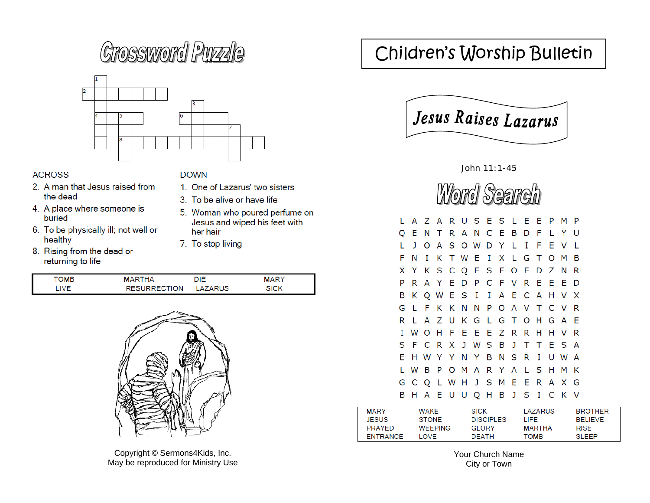# **Crossword Puzzle**



#### **ACROSS**

- 2. A man that Jesus raised from the dead
- 4. A place where someone is buried
- 6. To be physically ill; not well or healthy
- 8. Rising from the dead or returning to life

#### **DOWN**

- 1. One of Lazarus' two sisters
- 3. To be alive or have life
- 5. Woman who poured perfume on Jesus and wiped his feet with her hair
- 7. To stop living

| OMB | "HA<br>м                 | DIE   | <b>ARY</b><br>м |  |
|-----|--------------------------|-------|-----------------|--|
|     | <b>JRRECTION</b><br>RESI | 'ARUS | SICK            |  |



Copyright © Sermons4Kids, Inc. May be reproduced for Ministry Use

## Children's Worship Bulletin



John 11:1-45



|   |    |  |  | L A Z A R U S E S L E E P M P |  |  |  |     |  |
|---|----|--|--|-------------------------------|--|--|--|-----|--|
|   |    |  |  | Q E N T R A N C E B D F L Y U |  |  |  |     |  |
|   |    |  |  | J O A S O W D Y L I F E V L   |  |  |  |     |  |
|   |    |  |  | F N I K T W E I X L G T O M   |  |  |  | - B |  |
|   |    |  |  | X Y K S C Q E S F O E D Z N   |  |  |  | - R |  |
| P |    |  |  | R A Y E D P C F V R E E E D   |  |  |  |     |  |
|   |    |  |  | B K Q W E S I I A E C A H V X |  |  |  |     |  |
|   | GL |  |  | F K K N N P O A V T C V R     |  |  |  |     |  |
| R |    |  |  | L A Z U K G L G T O H G A E   |  |  |  |     |  |
|   |    |  |  | I W O H F E E E Z R R H H V R |  |  |  |     |  |
|   |    |  |  | S F C R X J W S B J T T E S A |  |  |  |     |  |
|   |    |  |  | E H W Y Y N Y B N S R I U W A |  |  |  |     |  |
|   |    |  |  | L W B P O M A R Y A L S H M K |  |  |  |     |  |
|   |    |  |  | G C Q L W H J S M E E R A X G |  |  |  |     |  |
|   |    |  |  | B H A E U U Q H B J S I C K V |  |  |  |     |  |

| <b>MARY</b>     | WAKF           | <b>SICK</b>      | I AZARUS      | <b>BROTHER</b> |
|-----------------|----------------|------------------|---------------|----------------|
| <b>JESUS</b>    | <b>STONE</b>   | <b>DISCIPLES</b> | LIEE.         | <b>BELIEVE</b> |
| <b>PRAYED</b>   | <b>WEEPING</b> | GI ORY           | <b>MARTHA</b> | <b>RISF</b>    |
| <b>FNTRANCE</b> | LOVE.          | <b>DEATH</b>     | томв          | SLEEP          |

Your Church Name City or Town